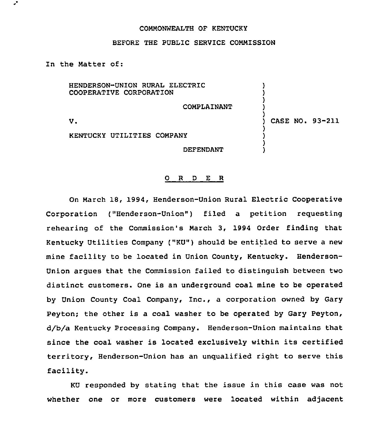## COMMONWEALTH OF KENTUCKY

## BEFORE THE PUBLIC SERVICE COMMISSION

In the Matter of:

HENDERSON-UNION RURAL ELECTRIC ) COOPERATIVE CORPORATION ) ) COMPLAINANT ) )  $\mathbf{v}$ . ) CASE NO. 93-211 ) KENTUCKY UTILITIES COMPANY ) ) DEFENDANT )

## 0 R <sup>D</sup> E R

On March 18, 1994, Henderson-Union Rural Electric Cooperative Corporation ("Henderson-Union" ) filed <sup>a</sup> petition requesting rehearing of the Commission's March 3, 1994 Order finding that Kentucky Utilities Company ("KU") should be entitled to serve a new mine facility to be located in Union County, Kentucky. Henderson-Union argues that the Commission failed to distinguish between two distinct customers. One is an underground coal mine to be operated by Union County Coal Company, Inc., a corporation owned by Gary Peyton; the other is a coal washer to be operated by Gary Peyton, d/b/a Kentucky Processing Company. Henderson-Union maintains that since the coal washer is located exclusively within its certified territory, Henderson-Union has an unqualified right to serve this facility.

KU responded by stating that the issue in this case was not whether one or more customers were located within adjacent